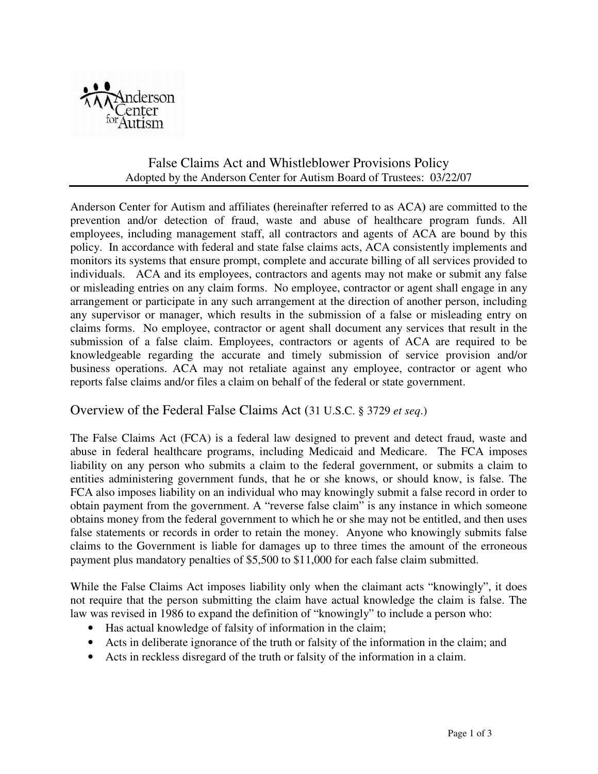

## False Claims Act and Whistleblower Provisions Policy Adopted by the Anderson Center for Autism Board of Trustees: 03/22/07

Anderson Center for Autism and affiliates **(**hereinafter referred to as ACA**)** are committed to the prevention and/or detection of fraud, waste and abuse of healthcare program funds. All employees, including management staff, all contractors and agents of ACA are bound by this policy. In accordance with federal and state false claims acts, ACA consistently implements and monitors its systems that ensure prompt, complete and accurate billing of all services provided to individuals. ACA and its employees, contractors and agents may not make or submit any false or misleading entries on any claim forms. No employee, contractor or agent shall engage in any arrangement or participate in any such arrangement at the direction of another person, including any supervisor or manager, which results in the submission of a false or misleading entry on claims forms. No employee, contractor or agent shall document any services that result in the submission of a false claim. Employees, contractors or agents of ACA are required to be knowledgeable regarding the accurate and timely submission of service provision and/or business operations. ACA may not retaliate against any employee, contractor or agent who reports false claims and/or files a claim on behalf of the federal or state government.

## Overview of the Federal False Claims Act (31 U.S.C. § 3729 *et seq*.)

The False Claims Act (FCA) is a federal law designed to prevent and detect fraud, waste and abuse in federal healthcare programs, including Medicaid and Medicare. The FCA imposes liability on any person who submits a claim to the federal government, or submits a claim to entities administering government funds, that he or she knows, or should know, is false. The FCA also imposes liability on an individual who may knowingly submit a false record in order to obtain payment from the government. A "reverse false claim" is any instance in which someone obtains money from the federal government to which he or she may not be entitled, and then uses false statements or records in order to retain the money. Anyone who knowingly submits false claims to the Government is liable for damages up to three times the amount of the erroneous payment plus mandatory penalties of \$5,500 to \$11,000 for each false claim submitted.

While the False Claims Act imposes liability only when the claimant acts "knowingly", it does not require that the person submitting the claim have actual knowledge the claim is false. The law was revised in 1986 to expand the definition of "knowingly" to include a person who:

- Has actual knowledge of falsity of information in the claim;
- Acts in deliberate ignorance of the truth or falsity of the information in the claim; and
- Acts in reckless disregard of the truth or falsity of the information in a claim.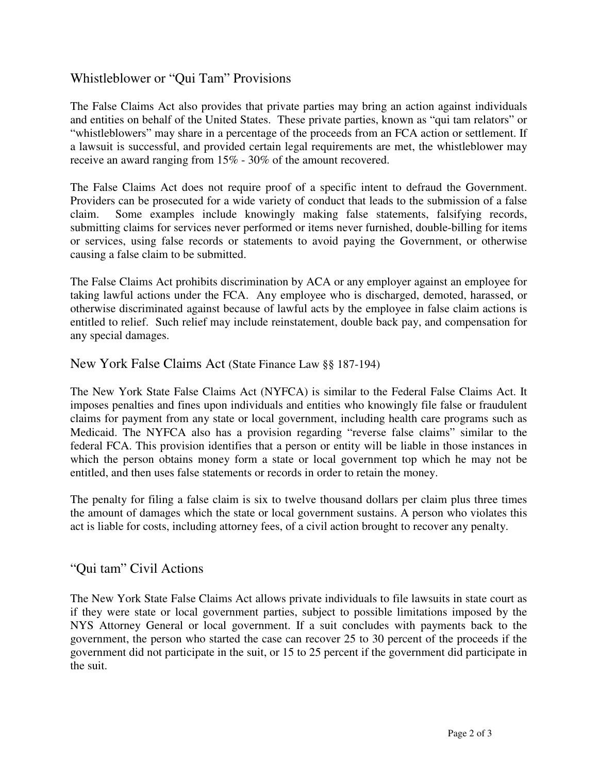## Whistleblower or "Qui Tam" Provisions

The False Claims Act also provides that private parties may bring an action against individuals and entities on behalf of the United States. These private parties, known as "qui tam relators" or "whistleblowers" may share in a percentage of the proceeds from an FCA action or settlement. If a lawsuit is successful, and provided certain legal requirements are met, the whistleblower may receive an award ranging from 15% - 30% of the amount recovered.

The False Claims Act does not require proof of a specific intent to defraud the Government. Providers can be prosecuted for a wide variety of conduct that leads to the submission of a false claim. Some examples include knowingly making false statements, falsifying records, submitting claims for services never performed or items never furnished, double-billing for items or services, using false records or statements to avoid paying the Government, or otherwise causing a false claim to be submitted.

The False Claims Act prohibits discrimination by ACA or any employer against an employee for taking lawful actions under the FCA. Any employee who is discharged, demoted, harassed, or otherwise discriminated against because of lawful acts by the employee in false claim actions is entitled to relief. Such relief may include reinstatement, double back pay, and compensation for any special damages.

New York False Claims Act (State Finance Law §§ 187-194)

The New York State False Claims Act (NYFCA) is similar to the Federal False Claims Act. It imposes penalties and fines upon individuals and entities who knowingly file false or fraudulent claims for payment from any state or local government, including health care programs such as Medicaid. The NYFCA also has a provision regarding "reverse false claims" similar to the federal FCA. This provision identifies that a person or entity will be liable in those instances in which the person obtains money form a state or local government top which he may not be entitled, and then uses false statements or records in order to retain the money.

The penalty for filing a false claim is six to twelve thousand dollars per claim plus three times the amount of damages which the state or local government sustains. A person who violates this act is liable for costs, including attorney fees, of a civil action brought to recover any penalty.

## "Qui tam" Civil Actions

The New York State False Claims Act allows private individuals to file lawsuits in state court as if they were state or local government parties, subject to possible limitations imposed by the NYS Attorney General or local government. If a suit concludes with payments back to the government, the person who started the case can recover 25 to 30 percent of the proceeds if the government did not participate in the suit, or 15 to 25 percent if the government did participate in the suit.